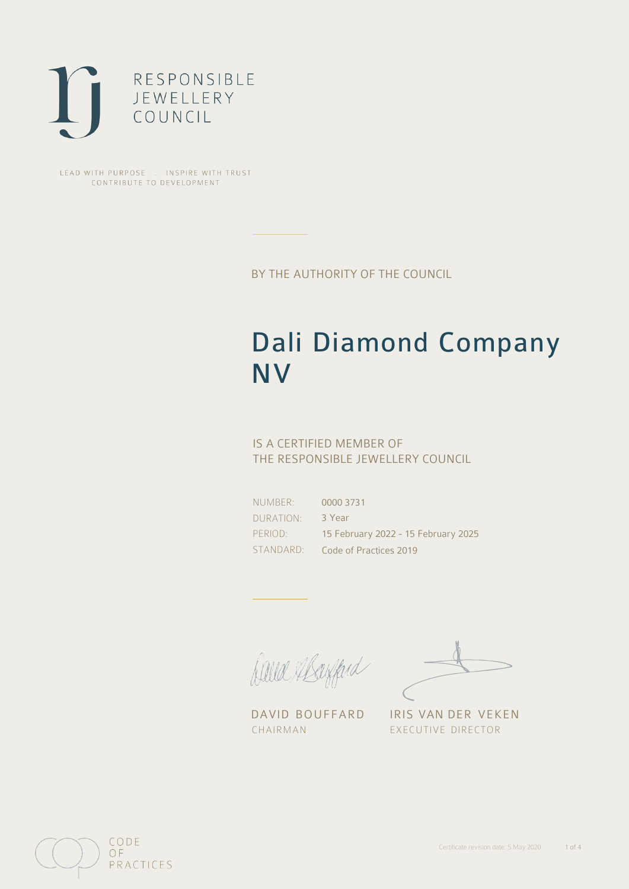

LEAD WITH PURPOSE . INSPIRE WITH TRUST CONTRIBUTE TO DEVELOPMENT

BY THE AUTHORITY OF THE COUNCIL

# Dali Diamond Company NV

## IS A CERTIFIED MEMBER OF THE RESPONSIBLE JEWELLERY COUNCIL

NUMBER: DURATION: PERIOD:

STANDARD: Code of Practices 2019 0000 3731 3 Year 15 February 2022 - 15 February 2025

Balla Abayfard

DAVID BOUFFARD IRIS VAN DER VEKEN CHAIRMAN EXECUTIVE DIRECTOR

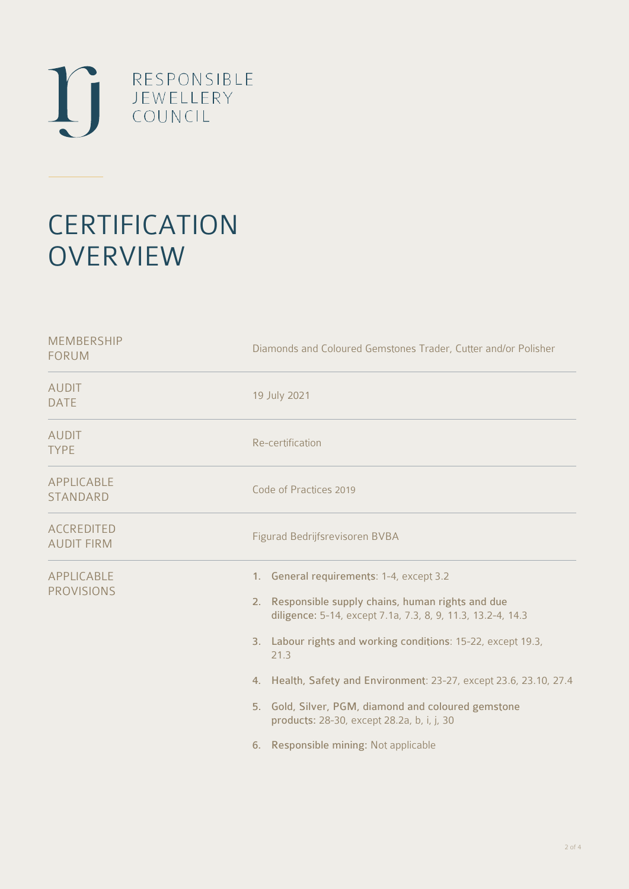

# **CERTIFICATION OVERVIEW**

| <b>MEMBERSHIP</b><br><b>FORUM</b>      | Diamonds and Coloured Gemstones Trader, Cutter and/or Polisher                                                                                                                                                                                                                                                                                                                                                                                            |
|----------------------------------------|-----------------------------------------------------------------------------------------------------------------------------------------------------------------------------------------------------------------------------------------------------------------------------------------------------------------------------------------------------------------------------------------------------------------------------------------------------------|
| <b>AUDIT</b><br><b>DATE</b>            | 19 July 2021                                                                                                                                                                                                                                                                                                                                                                                                                                              |
| <b>AUDIT</b><br><b>TYPE</b>            | Re-certification                                                                                                                                                                                                                                                                                                                                                                                                                                          |
| APPLICABLE<br><b>STANDARD</b>          | Code of Practices 2019                                                                                                                                                                                                                                                                                                                                                                                                                                    |
| <b>ACCREDITED</b><br><b>AUDIT FIRM</b> | Figurad Bedrijfsrevisoren BVBA                                                                                                                                                                                                                                                                                                                                                                                                                            |
| <b>APPLICABLE</b><br><b>PROVISIONS</b> | 1. General requirements: 1-4, except 3.2<br>2. Responsible supply chains, human rights and due<br>diligence: 5-14, except 7.1a, 7.3, 8, 9, 11.3, 13.2-4, 14.3<br>3. Labour rights and working conditions: 15-22, except 19.3,<br>21.3<br>4. Health, Safety and Environment: 23-27, except 23.6, 23.10, 27.4<br>5. Gold, Silver, PGM, diamond and coloured gemstone<br>products: 28-30, except 28.2a, b, i, j, 30<br>6. Responsible mining: Not applicable |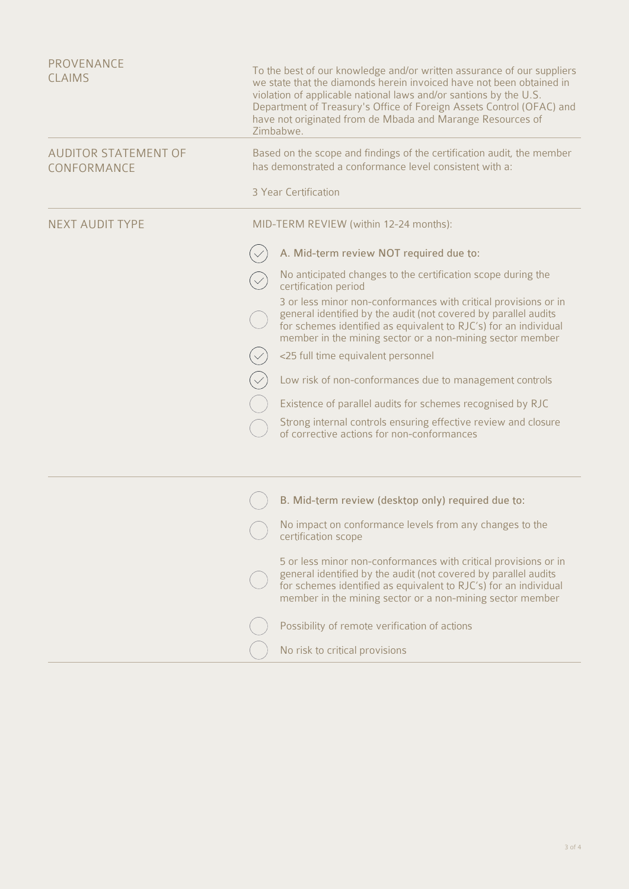| PROVENANCE<br><b>CLAIMS</b>                | To the best of our knowledge and/or written assurance of our suppliers<br>we state that the diamonds herein invoiced have not been obtained in<br>violation of applicable national laws and/or santions by the U.S.<br>Department of Treasury's Office of Foreign Assets Control (OFAC) and<br>have not originated from de Mbada and Marange Resources of<br>Zimbabwe. |  |
|--------------------------------------------|------------------------------------------------------------------------------------------------------------------------------------------------------------------------------------------------------------------------------------------------------------------------------------------------------------------------------------------------------------------------|--|
| <b>AUDITOR STATEMENT OF</b><br>CONFORMANCE | Based on the scope and findings of the certification audit, the member<br>has demonstrated a conformance level consistent with a:                                                                                                                                                                                                                                      |  |
|                                            | 3 Year Certification                                                                                                                                                                                                                                                                                                                                                   |  |
| <b>NEXT AUDIT TYPE</b>                     | MID-TERM REVIEW (within 12-24 months):                                                                                                                                                                                                                                                                                                                                 |  |
|                                            | A. Mid-term review NOT required due to:                                                                                                                                                                                                                                                                                                                                |  |
|                                            | No anticipated changes to the certification scope during the<br>certification period                                                                                                                                                                                                                                                                                   |  |
|                                            | 3 or less minor non-conformances with critical provisions or in<br>general identified by the audit (not covered by parallel audits<br>for schemes identified as equivalent to RJC's) for an individual<br>member in the mining sector or a non-mining sector member                                                                                                    |  |
|                                            | <25 full time equivalent personnel                                                                                                                                                                                                                                                                                                                                     |  |
|                                            | Low risk of non-conformances due to management controls                                                                                                                                                                                                                                                                                                                |  |
|                                            | Existence of parallel audits for schemes recognised by RJC                                                                                                                                                                                                                                                                                                             |  |
|                                            | Strong internal controls ensuring effective review and closure<br>of corrective actions for non-conformances                                                                                                                                                                                                                                                           |  |
|                                            | B. Mid-term review (desktop only) required due to:                                                                                                                                                                                                                                                                                                                     |  |
|                                            | No impact on conformance levels from any changes to the<br>certification scope                                                                                                                                                                                                                                                                                         |  |
|                                            | 5 or less minor non-conformances with critical provisions or in<br>general identified by the audit (not covered by parallel audits<br>for schemes identified as equivalent to RJC's) for an individual<br>member in the mining sector or a non-mining sector member                                                                                                    |  |
|                                            | Possibility of remote verification of actions                                                                                                                                                                                                                                                                                                                          |  |
|                                            | No risk to critical provisions                                                                                                                                                                                                                                                                                                                                         |  |